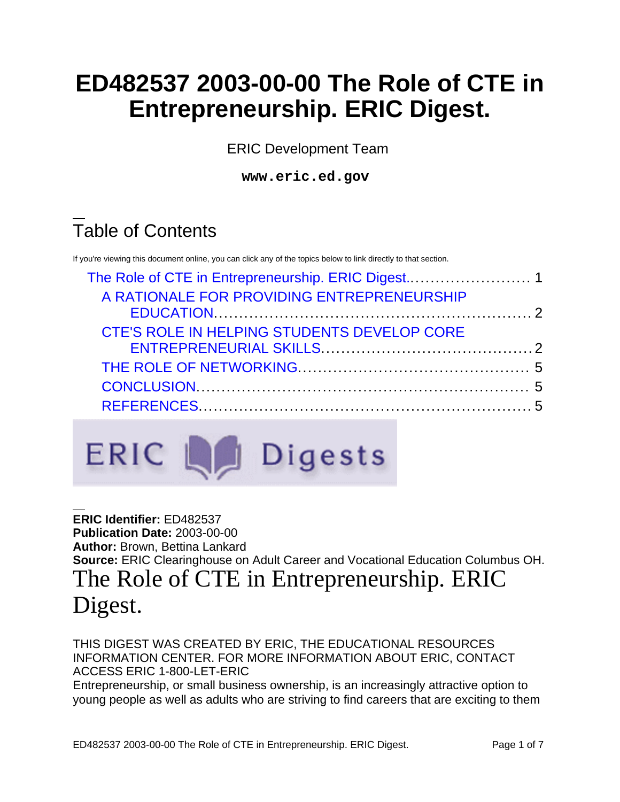# **ED482537 2003-00-00 The Role of CTE in Entrepreneurship. ERIC Digest.**

ERIC Development Team

**www.eric.ed.gov**

# Table of Contents

If you're viewing this document online, you can click any of the topics below to link directly to that section.

| A RATIONALE FOR PROVIDING ENTREPRENEURSHIP  |  |
|---------------------------------------------|--|
|                                             |  |
| CTE'S ROLE IN HELPING STUDENTS DEVELOP CORE |  |
|                                             |  |
|                                             |  |
|                                             |  |
|                                             |  |
|                                             |  |



<span id="page-0-0"></span>**ERIC Identifier:** ED482537 **Publication Date:** 2003-00-00 **Author:** Brown, Bettina Lankard **Source:** ERIC Clearinghouse on Adult Career and Vocational Education Columbus OH. The Role of CTE in Entrepreneurship. ERIC Digest.

THIS DIGEST WAS CREATED BY ERIC, THE EDUCATIONAL RESOURCES INFORMATION CENTER. FOR MORE INFORMATION ABOUT ERIC, CONTACT ACCESS ERIC 1-800-LET-ERIC

Entrepreneurship, or small business ownership, is an increasingly attractive option to young people as well as adults who are striving to find careers that are exciting to them

ED482537 2003-00-00 The Role of CTE in Entrepreneurship. ERIC Digest. Page 1 of 7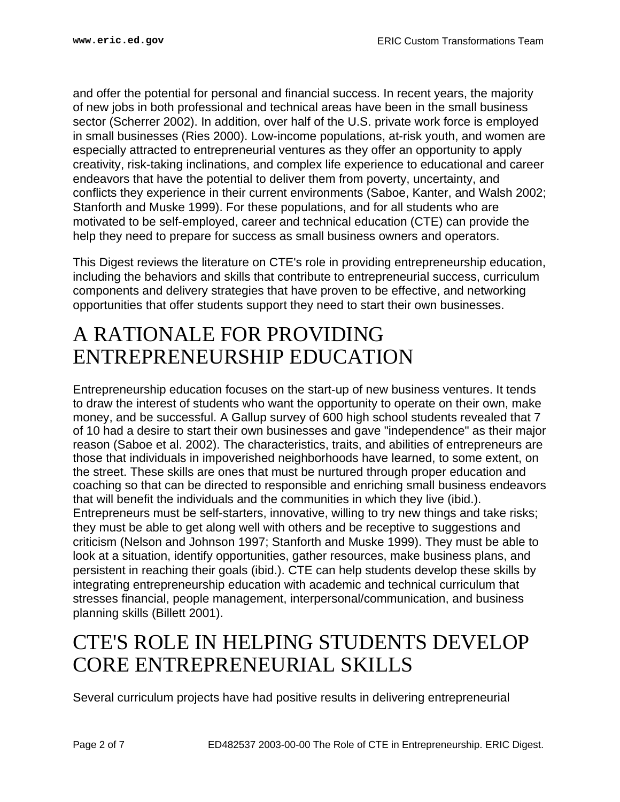and offer the potential for personal and financial success. In recent years, the majority of new jobs in both professional and technical areas have been in the small business sector (Scherrer 2002). In addition, over half of the U.S. private work force is employed in small businesses (Ries 2000). Low-income populations, at-risk youth, and women are especially attracted to entrepreneurial ventures as they offer an opportunity to apply creativity, risk-taking inclinations, and complex life experience to educational and career endeavors that have the potential to deliver them from poverty, uncertainty, and conflicts they experience in their current environments (Saboe, Kanter, and Walsh 2002; Stanforth and Muske 1999). For these populations, and for all students who are motivated to be self-employed, career and technical education (CTE) can provide the help they need to prepare for success as small business owners and operators.

This Digest reviews the literature on CTE's role in providing entrepreneurship education, including the behaviors and skills that contribute to entrepreneurial success, curriculum components and delivery strategies that have proven to be effective, and networking opportunities that offer students support they need to start their own businesses.

## <span id="page-1-0"></span>A RATIONALE FOR PROVIDING ENTREPRENEURSHIP EDUCATION

Entrepreneurship education focuses on the start-up of new business ventures. It tends to draw the interest of students who want the opportunity to operate on their own, make money, and be successful. A Gallup survey of 600 high school students revealed that 7 of 10 had a desire to start their own businesses and gave "independence" as their major reason (Saboe et al. 2002). The characteristics, traits, and abilities of entrepreneurs are those that individuals in impoverished neighborhoods have learned, to some extent, on the street. These skills are ones that must be nurtured through proper education and coaching so that can be directed to responsible and enriching small business endeavors that will benefit the individuals and the communities in which they live (ibid.). Entrepreneurs must be self-starters, innovative, willing to try new things and take risks; they must be able to get along well with others and be receptive to suggestions and criticism (Nelson and Johnson 1997; Stanforth and Muske 1999). They must be able to look at a situation, identify opportunities, gather resources, make business plans, and persistent in reaching their goals (ibid.). CTE can help students develop these skills by integrating entrepreneurship education with academic and technical curriculum that stresses financial, people management, interpersonal/communication, and business planning skills (Billett 2001).

## <span id="page-1-1"></span>CTE'S ROLE IN HELPING STUDENTS DEVELOP CORE ENTREPRENEURIAL SKILLS

Several curriculum projects have had positive results in delivering entrepreneurial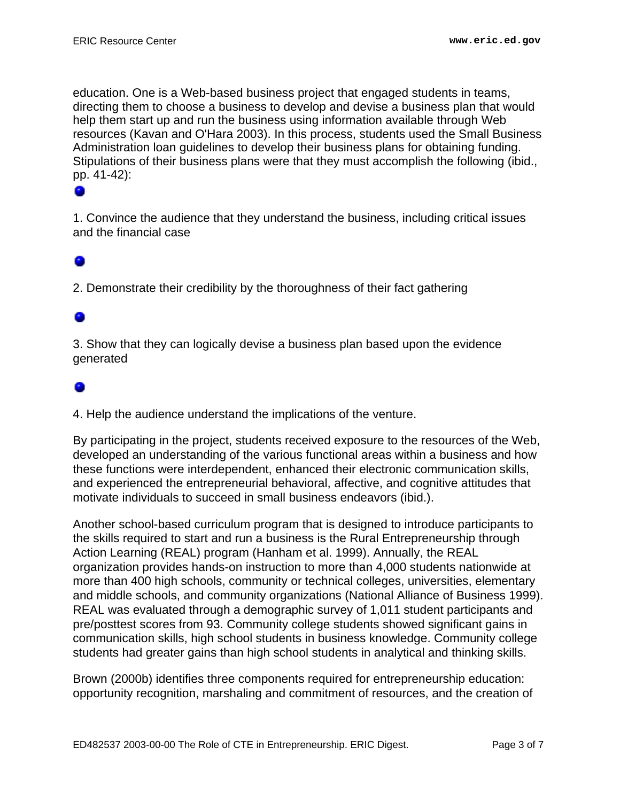education. One is a Web-based business project that engaged students in teams, directing them to choose a business to develop and devise a business plan that would help them start up and run the business using information available through Web resources (Kavan and O'Hara 2003). In this process, students used the Small Business Administration loan guidelines to develop their business plans for obtaining funding. Stipulations of their business plans were that they must accomplish the following (ibid., pp. 41-42):

1. Convince the audience that they understand the business, including critical issues and the financial case

2. Demonstrate their credibility by the thoroughness of their fact gathering

3. Show that they can logically devise a business plan based upon the evidence generated

4. Help the audience understand the implications of the venture.

By participating in the project, students received exposure to the resources of the Web, developed an understanding of the various functional areas within a business and how these functions were interdependent, enhanced their electronic communication skills, and experienced the entrepreneurial behavioral, affective, and cognitive attitudes that motivate individuals to succeed in small business endeavors (ibid.).

Another school-based curriculum program that is designed to introduce participants to the skills required to start and run a business is the Rural Entrepreneurship through Action Learning (REAL) program (Hanham et al. 1999). Annually, the REAL organization provides hands-on instruction to more than 4,000 students nationwide at more than 400 high schools, community or technical colleges, universities, elementary and middle schools, and community organizations (National Alliance of Business 1999). REAL was evaluated through a demographic survey of 1,011 student participants and pre/posttest scores from 93. Community college students showed significant gains in communication skills, high school students in business knowledge. Community college students had greater gains than high school students in analytical and thinking skills.

Brown (2000b) identifies three components required for entrepreneurship education: opportunity recognition, marshaling and commitment of resources, and the creation of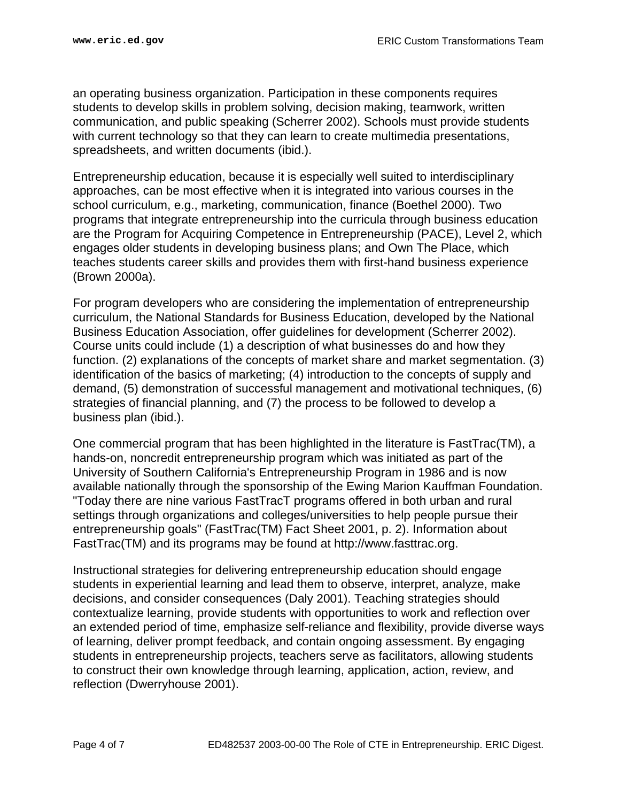an operating business organization. Participation in these components requires students to develop skills in problem solving, decision making, teamwork, written communication, and public speaking (Scherrer 2002). Schools must provide students with current technology so that they can learn to create multimedia presentations, spreadsheets, and written documents (ibid.).

Entrepreneurship education, because it is especially well suited to interdisciplinary approaches, can be most effective when it is integrated into various courses in the school curriculum, e.g., marketing, communication, finance (Boethel 2000). Two programs that integrate entrepreneurship into the curricula through business education are the Program for Acquiring Competence in Entrepreneurship (PACE), Level 2, which engages older students in developing business plans; and Own The Place, which teaches students career skills and provides them with first-hand business experience (Brown 2000a).

For program developers who are considering the implementation of entrepreneurship curriculum, the National Standards for Business Education, developed by the National Business Education Association, offer guidelines for development (Scherrer 2002). Course units could include (1) a description of what businesses do and how they function. (2) explanations of the concepts of market share and market segmentation. (3) identification of the basics of marketing; (4) introduction to the concepts of supply and demand, (5) demonstration of successful management and motivational techniques, (6) strategies of financial planning, and (7) the process to be followed to develop a business plan (ibid.).

One commercial program that has been highlighted in the literature is FastTrac(TM), a hands-on, noncredit entrepreneurship program which was initiated as part of the University of Southern California's Entrepreneurship Program in 1986 and is now available nationally through the sponsorship of the Ewing Marion Kauffman Foundation. "Today there are nine various FastTracT programs offered in both urban and rural settings through organizations and colleges/universities to help people pursue their entrepreneurship goals" (FastTrac(TM) Fact Sheet 2001, p. 2). Information about FastTrac(TM) and its programs may be found at http://www.fasttrac.org.

Instructional strategies for delivering entrepreneurship education should engage students in experiential learning and lead them to observe, interpret, analyze, make decisions, and consider consequences (Daly 2001). Teaching strategies should contextualize learning, provide students with opportunities to work and reflection over an extended period of time, emphasize self-reliance and flexibility, provide diverse ways of learning, deliver prompt feedback, and contain ongoing assessment. By engaging students in entrepreneurship projects, teachers serve as facilitators, allowing students to construct their own knowledge through learning, application, action, review, and reflection (Dwerryhouse 2001).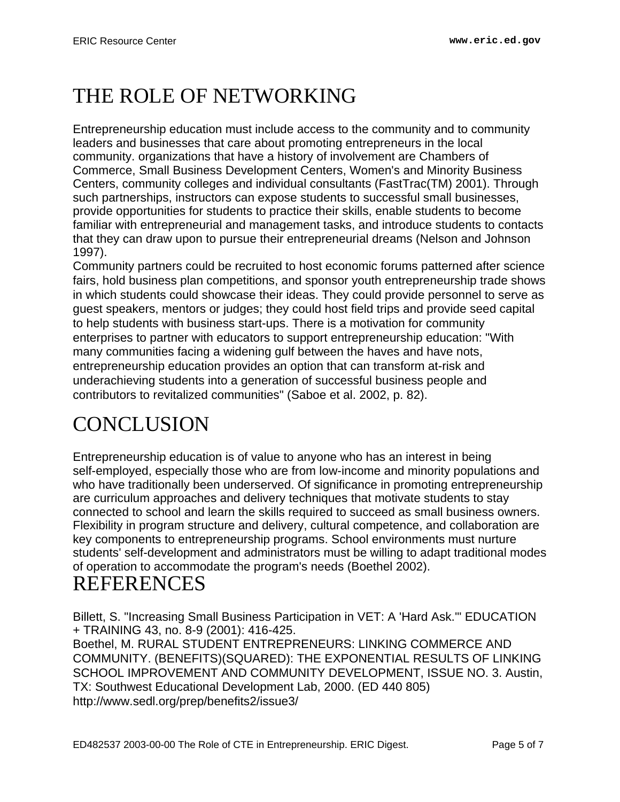# <span id="page-4-0"></span>THE ROLE OF NETWORKING

Entrepreneurship education must include access to the community and to community leaders and businesses that care about promoting entrepreneurs in the local community. organizations that have a history of involvement are Chambers of Commerce, Small Business Development Centers, Women's and Minority Business Centers, community colleges and individual consultants (FastTrac(TM) 2001). Through such partnerships, instructors can expose students to successful small businesses, provide opportunities for students to practice their skills, enable students to become familiar with entrepreneurial and management tasks, and introduce students to contacts that they can draw upon to pursue their entrepreneurial dreams (Nelson and Johnson 1997).

Community partners could be recruited to host economic forums patterned after science fairs, hold business plan competitions, and sponsor youth entrepreneurship trade shows in which students could showcase their ideas. They could provide personnel to serve as guest speakers, mentors or judges; they could host field trips and provide seed capital to help students with business start-ups. There is a motivation for community enterprises to partner with educators to support entrepreneurship education: "With many communities facing a widening gulf between the haves and have nots, entrepreneurship education provides an option that can transform at-risk and underachieving students into a generation of successful business people and contributors to revitalized communities" (Saboe et al. 2002, p. 82).

# <span id="page-4-1"></span>**CONCLUSION**

Entrepreneurship education is of value to anyone who has an interest in being self-employed, especially those who are from low-income and minority populations and who have traditionally been underserved. Of significance in promoting entrepreneurship are curriculum approaches and delivery techniques that motivate students to stay connected to school and learn the skills required to succeed as small business owners. Flexibility in program structure and delivery, cultural competence, and collaboration are key components to entrepreneurship programs. School environments must nurture students' self-development and administrators must be willing to adapt traditional modes of operation to accommodate the program's needs (Boethel 2002).

## <span id="page-4-2"></span>REFERENCES

Billett, S. "Increasing Small Business Participation in VET: A 'Hard Ask.'" EDUCATION + TRAINING 43, no. 8-9 (2001): 416-425. Boethel, M. RURAL STUDENT ENTREPRENEURS: LINKING COMMERCE AND COMMUNITY. (BENEFITS)(SQUARED): THE EXPONENTIAL RESULTS OF LINKING SCHOOL IMPROVEMENT AND COMMUNITY DEVELOPMENT, ISSUE NO. 3. Austin, TX: Southwest Educational Development Lab, 2000. (ED 440 805) http://www.sedl.org/prep/benefits2/issue3/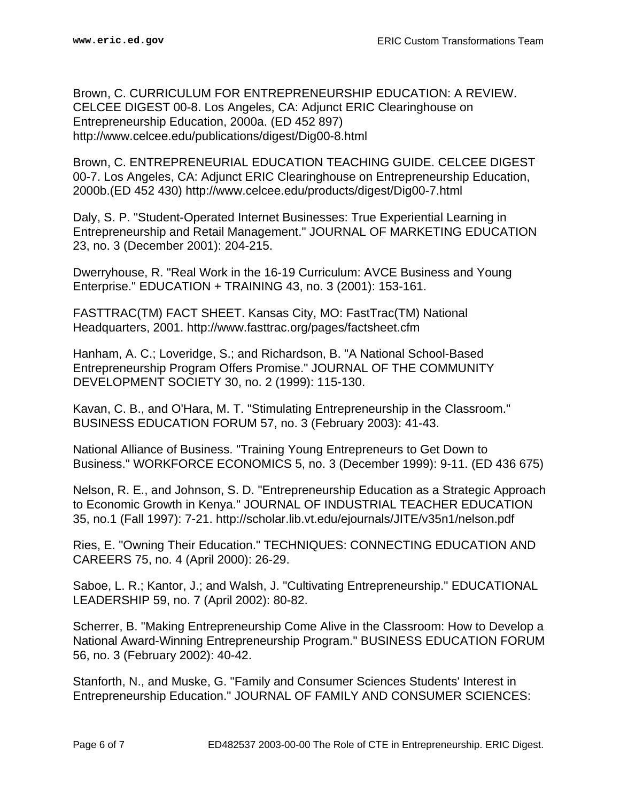Brown, C. CURRICULUM FOR ENTREPRENEURSHIP EDUCATION: A REVIEW. CELCEE DIGEST 00-8. Los Angeles, CA: Adjunct ERIC Clearinghouse on Entrepreneurship Education, 2000a. (ED 452 897) http://www.celcee.edu/publications/digest/Dig00-8.html

Brown, C. ENTREPRENEURIAL EDUCATION TEACHING GUIDE. CELCEE DIGEST 00-7. Los Angeles, CA: Adjunct ERIC Clearinghouse on Entrepreneurship Education, 2000b.(ED 452 430) http://www.celcee.edu/products/digest/Dig00-7.html

Daly, S. P. "Student-Operated Internet Businesses: True Experiential Learning in Entrepreneurship and Retail Management." JOURNAL OF MARKETING EDUCATION 23, no. 3 (December 2001): 204-215.

Dwerryhouse, R. "Real Work in the 16-19 Curriculum: AVCE Business and Young Enterprise." EDUCATION + TRAINING 43, no. 3 (2001): 153-161.

FASTTRAC(TM) FACT SHEET. Kansas City, MO: FastTrac(TM) National Headquarters, 2001. http://www.fasttrac.org/pages/factsheet.cfm

Hanham, A. C.; Loveridge, S.; and Richardson, B. "A National School-Based Entrepreneurship Program Offers Promise." JOURNAL OF THE COMMUNITY DEVELOPMENT SOCIETY 30, no. 2 (1999): 115-130.

Kavan, C. B., and O'Hara, M. T. "Stimulating Entrepreneurship in the Classroom." BUSINESS EDUCATION FORUM 57, no. 3 (February 2003): 41-43.

National Alliance of Business. "Training Young Entrepreneurs to Get Down to Business." WORKFORCE ECONOMICS 5, no. 3 (December 1999): 9-11. (ED 436 675)

Nelson, R. E., and Johnson, S. D. "Entrepreneurship Education as a Strategic Approach to Economic Growth in Kenya." JOURNAL OF INDUSTRIAL TEACHER EDUCATION 35, no.1 (Fall 1997): 7-21. http://scholar.lib.vt.edu/ejournals/JITE/v35n1/nelson.pdf

Ries, E. "Owning Their Education." TECHNIQUES: CONNECTING EDUCATION AND CAREERS 75, no. 4 (April 2000): 26-29.

Saboe, L. R.; Kantor, J.; and Walsh, J. "Cultivating Entrepreneurship." EDUCATIONAL LEADERSHIP 59, no. 7 (April 2002): 80-82.

Scherrer, B. "Making Entrepreneurship Come Alive in the Classroom: How to Develop a National Award-Winning Entrepreneurship Program." BUSINESS EDUCATION FORUM 56, no. 3 (February 2002): 40-42.

Stanforth, N., and Muske, G. "Family and Consumer Sciences Students' Interest in Entrepreneurship Education." JOURNAL OF FAMILY AND CONSUMER SCIENCES: